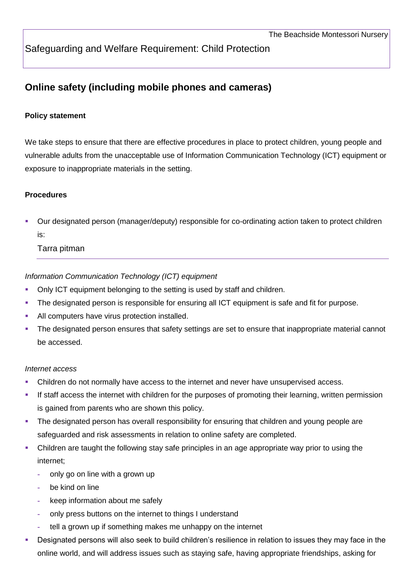Safeguarding and Welfare Requirement: Child Protection

# **Online safety (including mobile phones and cameras)**

#### **Policy statement**

We take steps to ensure that there are effective procedures in place to protect children, young people and vulnerable adults from the unacceptable use of Information Communication Technology (ICT) equipment or exposure to inappropriate materials in the setting.

#### **Procedures**

 Our designated person (manager/deputy) responsible for co-ordinating action taken to protect children is:

#### Tarra pitman

*Information Communication Technology (ICT) equipment*

- Only ICT equipment belonging to the setting is used by staff and children.
- The designated person is responsible for ensuring all ICT equipment is safe and fit for purpose.
- All computers have virus protection installed.
- The designated person ensures that safety settings are set to ensure that inappropriate material cannot be accessed.

#### *Internet access*

- Children do not normally have access to the internet and never have unsupervised access.
- If staff access the internet with children for the purposes of promoting their learning, written permission is gained from parents who are shown this policy.
- The designated person has overall responsibility for ensuring that children and young people are safeguarded and risk assessments in relation to online safety are completed.
- Children are taught the following stay safe principles in an age appropriate way prior to using the internet;
	- **-** only go on line with a grown up
	- **-** be kind on line
	- **-** keep information about me safely
	- **-** only press buttons on the internet to things I understand
	- **-** tell a grown up if something makes me unhappy on the internet
- Designated persons will also seek to build children's resilience in relation to issues they may face in the online world, and will address issues such as staying safe, having appropriate friendships, asking for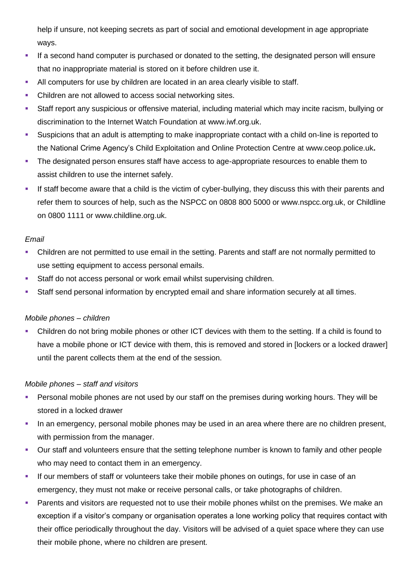help if unsure, not keeping secrets as part of social and emotional development in age appropriate ways.

- If a second hand computer is purchased or donated to the setting, the designated person will ensure that no inappropriate material is stored on it before children use it.
- All computers for use by children are located in an area clearly visible to staff.
- Children are not allowed to access social networking sites.
- Staff report any suspicious or offensive material, including material which may incite racism, bullying or discrimination to the Internet Watch Foundation at [www.iwf.org.uk.](http://www.iwf.org.uk/)
- Suspicions that an adult is attempting to make inappropriate contact with a child on-line is reported to the National Crime Agency's Child Exploitation and Online Protection Centre at [www.ceop.police.uk](http://www.ceop.police.uk/)**.**
- The designated person ensures staff have access to age-appropriate resources to enable them to assist children to use the internet safely.
- If staff become aware that a child is the victim of cyber-bullying, they discuss this with their parents and refer them to sources of help, such as the NSPCC on 0808 800 5000 or www.nspcc.org.uk, or Childline on 0800 1111 or www.childline.org.uk.

#### *Email*

- Children are not permitted to use email in the setting. Parents and staff are not normally permitted to use setting equipment to access personal emails.
- **Staff do not access personal or work email whilst supervising children.**
- Staff send personal information by encrypted email and share information securely at all times.

#### *Mobile phones – children*

 Children do not bring mobile phones or other ICT devices with them to the setting. If a child is found to have a mobile phone or ICT device with them, this is removed and stored in [lockers or a locked drawer] until the parent collects them at the end of the session.

#### *Mobile phones – staff and visitors*

- Personal mobile phones are not used by our staff on the premises during working hours. They will be stored in a locked drawer
- In an emergency, personal mobile phones may be used in an area where there are no children present, with permission from the manager.
- Our staff and volunteers ensure that the setting telephone number is known to family and other people who may need to contact them in an emergency.
- If our members of staff or volunteers take their mobile phones on outings, for use in case of an emergency, they must not make or receive personal calls, or take photographs of children.
- Parents and visitors are requested not to use their mobile phones whilst on the premises. We make an exception if a visitor's company or organisation operates a lone working policy that requires contact with their office periodically throughout the day. Visitors will be advised of a quiet space where they can use their mobile phone, where no children are present.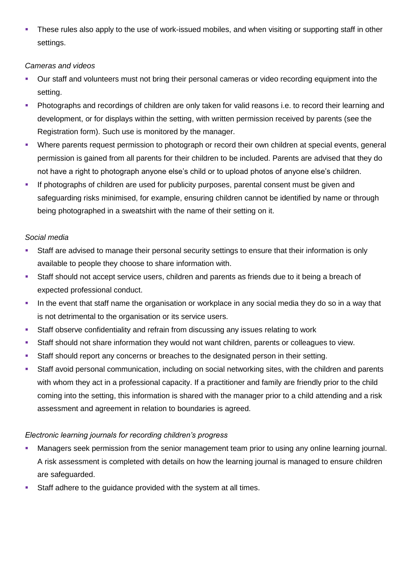These rules also apply to the use of work-issued mobiles, and when visiting or supporting staff in other settings.

#### *Cameras and videos*

- Our staff and volunteers must not bring their personal cameras or video recording equipment into the setting.
- Photographs and recordings of children are only taken for valid reasons i.e. to record their learning and development, or for displays within the setting, with written permission received by parents (see the Registration form). Such use is monitored by the manager.
- Where parents request permission to photograph or record their own children at special events, general permission is gained from all parents for their children to be included. Parents are advised that they do not have a right to photograph anyone else's child or to upload photos of anyone else's children.
- **If photographs of children are used for publicity purposes, parental consent must be given and** safeguarding risks minimised, for example, ensuring children cannot be identified by name or through being photographed in a sweatshirt with the name of their setting on it.

### *Social media*

- Staff are advised to manage their personal security settings to ensure that their information is only available to people they choose to share information with.
- Staff should not accept service users, children and parents as friends due to it being a breach of expected professional conduct.
- In the event that staff name the organisation or workplace in any social media they do so in a way that is not detrimental to the organisation or its service users.
- Staff observe confidentiality and refrain from discussing any issues relating to work
- Staff should not share information they would not want children, parents or colleagues to view.
- Staff should report any concerns or breaches to the designated person in their setting.
- Staff avoid personal communication, including on social networking sites, with the children and parents with whom they act in a professional capacity. If a practitioner and family are friendly prior to the child coming into the setting, this information is shared with the manager prior to a child attending and a risk assessment and agreement in relation to boundaries is agreed.

## *Electronic learning journals for recording children's progress*

- Managers seek permission from the senior management team prior to using any online learning journal. A risk assessment is completed with details on how the learning journal is managed to ensure children are safeguarded.
- **Staff adhere to the guidance provided with the system at all times.**